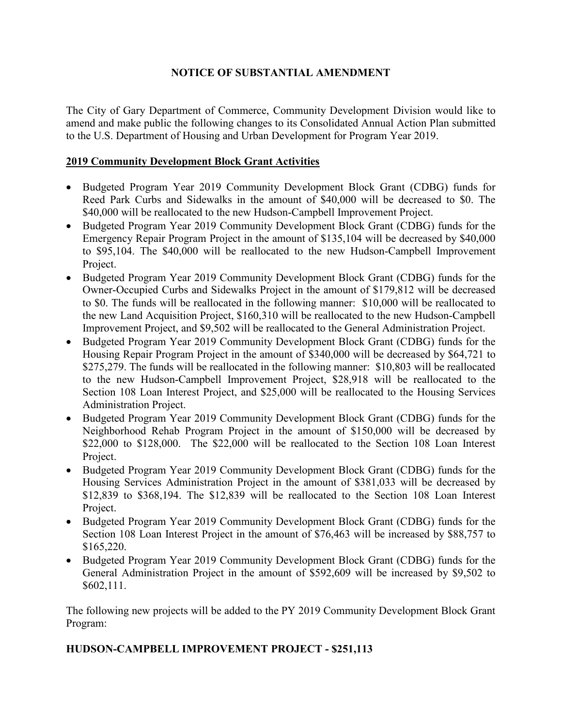## **NOTICE OF SUBSTANTIAL AMENDMENT**

The City of Gary Department of Commerce, Community Development Division would like to amend and make public the following changes to its Consolidated Annual Action Plan submitted to the U.S. Department of Housing and Urban Development for Program Year 2019.

## **2019 Community Development Block Grant Activities**

- Budgeted Program Year 2019 Community Development Block Grant (CDBG) funds for Reed Park Curbs and Sidewalks in the amount of \$40,000 will be decreased to \$0. The \$40,000 will be reallocated to the new Hudson-Campbell Improvement Project.
- Budgeted Program Year 2019 Community Development Block Grant (CDBG) funds for the Emergency Repair Program Project in the amount of \$135,104 will be decreased by \$40,000 to \$95,104. The \$40,000 will be reallocated to the new Hudson-Campbell Improvement Project.
- Budgeted Program Year 2019 Community Development Block Grant (CDBG) funds for the Owner-Occupied Curbs and Sidewalks Project in the amount of \$179,812 will be decreased to \$0. The funds will be reallocated in the following manner: \$10,000 will be reallocated to the new Land Acquisition Project, \$160,310 will be reallocated to the new Hudson-Campbell Improvement Project, and \$9,502 will be reallocated to the General Administration Project.
- Budgeted Program Year 2019 Community Development Block Grant (CDBG) funds for the Housing Repair Program Project in the amount of \$340,000 will be decreased by \$64,721 to \$275,279. The funds will be reallocated in the following manner: \$10,803 will be reallocated to the new Hudson-Campbell Improvement Project, \$28,918 will be reallocated to the Section 108 Loan Interest Project, and \$25,000 will be reallocated to the Housing Services Administration Project.
- Budgeted Program Year 2019 Community Development Block Grant (CDBG) funds for the Neighborhood Rehab Program Project in the amount of \$150,000 will be decreased by \$22,000 to \$128,000. The \$22,000 will be reallocated to the Section 108 Loan Interest Project.
- Budgeted Program Year 2019 Community Development Block Grant (CDBG) funds for the Housing Services Administration Project in the amount of \$381,033 will be decreased by \$12,839 to \$368,194. The \$12,839 will be reallocated to the Section 108 Loan Interest Project.
- Budgeted Program Year 2019 Community Development Block Grant (CDBG) funds for the Section 108 Loan Interest Project in the amount of \$76,463 will be increased by \$88,757 to \$165,220.
- Budgeted Program Year 2019 Community Development Block Grant (CDBG) funds for the General Administration Project in the amount of \$592,609 will be increased by \$9,502 to \$602,111.

The following new projects will be added to the PY 2019 Community Development Block Grant Program:

## **HUDSON-CAMPBELL IMPROVEMENT PROJECT - \$251,113**